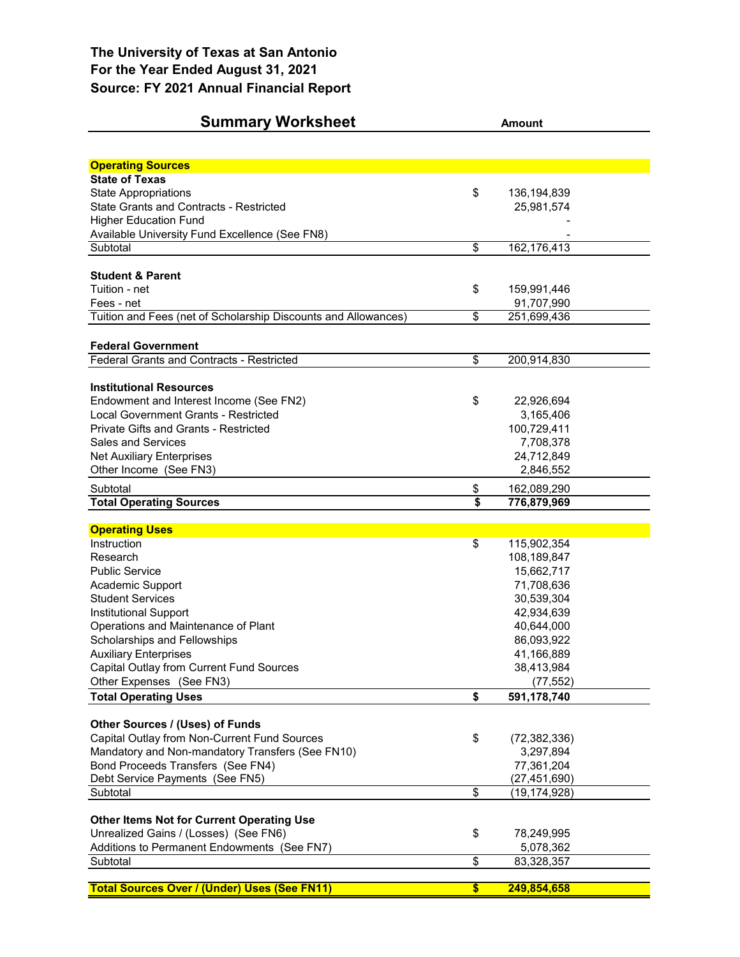| <b>Summary Worksheet</b>                                       | <b>Amount</b>   |                                  |  |  |  |  |  |  |
|----------------------------------------------------------------|-----------------|----------------------------------|--|--|--|--|--|--|
|                                                                |                 |                                  |  |  |  |  |  |  |
| <b>Operating Sources</b>                                       |                 |                                  |  |  |  |  |  |  |
| <b>State of Texas</b>                                          |                 |                                  |  |  |  |  |  |  |
| <b>State Appropriations</b>                                    | \$              | 136, 194, 839                    |  |  |  |  |  |  |
| State Grants and Contracts - Restricted                        |                 | 25,981,574                       |  |  |  |  |  |  |
| <b>Higher Education Fund</b>                                   |                 |                                  |  |  |  |  |  |  |
| Available University Fund Excellence (See FN8)                 |                 |                                  |  |  |  |  |  |  |
| Subtotal                                                       | $\overline{\$}$ | 162,176,413                      |  |  |  |  |  |  |
|                                                                |                 |                                  |  |  |  |  |  |  |
| <b>Student &amp; Parent</b>                                    |                 |                                  |  |  |  |  |  |  |
| Tuition - net                                                  | \$              | 159,991,446                      |  |  |  |  |  |  |
| Fees - net                                                     |                 | 91,707,990                       |  |  |  |  |  |  |
| Tuition and Fees (net of Scholarship Discounts and Allowances) | $\overline{\$}$ | 251,699,436                      |  |  |  |  |  |  |
|                                                                |                 |                                  |  |  |  |  |  |  |
| <b>Federal Government</b>                                      |                 |                                  |  |  |  |  |  |  |
| <b>Federal Grants and Contracts - Restricted</b>               | \$              | 200,914,830                      |  |  |  |  |  |  |
| <b>Institutional Resources</b>                                 |                 |                                  |  |  |  |  |  |  |
| Endowment and Interest Income (See FN2)                        | \$              | 22,926,694                       |  |  |  |  |  |  |
| Local Government Grants - Restricted                           |                 | 3,165,406                        |  |  |  |  |  |  |
| <b>Private Gifts and Grants - Restricted</b>                   |                 | 100,729,411                      |  |  |  |  |  |  |
| <b>Sales and Services</b>                                      |                 | 7,708,378                        |  |  |  |  |  |  |
| <b>Net Auxiliary Enterprises</b>                               |                 | 24,712,849                       |  |  |  |  |  |  |
| Other Income (See FN3)                                         |                 | 2,846,552                        |  |  |  |  |  |  |
| Subtotal                                                       | \$              | 162,089,290                      |  |  |  |  |  |  |
| <b>Total Operating Sources</b>                                 | \$              | 776,879,969                      |  |  |  |  |  |  |
|                                                                |                 |                                  |  |  |  |  |  |  |
| <b>Operating Uses</b>                                          |                 |                                  |  |  |  |  |  |  |
| Instruction                                                    | \$              | 115,902,354                      |  |  |  |  |  |  |
| Research                                                       |                 | 108,189,847                      |  |  |  |  |  |  |
| <b>Public Service</b>                                          |                 | 15,662,717                       |  |  |  |  |  |  |
| Academic Support                                               |                 | 71,708,636                       |  |  |  |  |  |  |
| <b>Student Services</b>                                        |                 | 30,539,304                       |  |  |  |  |  |  |
| <b>Institutional Support</b>                                   |                 | 42,934,639                       |  |  |  |  |  |  |
| Operations and Maintenance of Plant                            |                 | 40,644,000                       |  |  |  |  |  |  |
| Scholarships and Fellowships                                   |                 | 86,093,922                       |  |  |  |  |  |  |
| <b>Auxiliary Enterprises</b>                                   |                 | 41,166,889                       |  |  |  |  |  |  |
| Capital Outlay from Current Fund Sources                       |                 | 38,413,984                       |  |  |  |  |  |  |
| Other Expenses (See FN3)                                       |                 | (77, 552)                        |  |  |  |  |  |  |
| <b>Total Operating Uses</b>                                    | \$              | 591,178,740                      |  |  |  |  |  |  |
|                                                                |                 |                                  |  |  |  |  |  |  |
| Other Sources / (Uses) of Funds                                |                 |                                  |  |  |  |  |  |  |
| Capital Outlay from Non-Current Fund Sources                   | \$              | (72, 382, 336)                   |  |  |  |  |  |  |
| Mandatory and Non-mandatory Transfers (See FN10)               |                 | 3,297,894                        |  |  |  |  |  |  |
| Bond Proceeds Transfers (See FN4)                              |                 | 77,361,204                       |  |  |  |  |  |  |
| Debt Service Payments (See FN5)<br>Subtotal                    | \$              | (27, 451, 690)<br>(19, 174, 928) |  |  |  |  |  |  |
|                                                                |                 |                                  |  |  |  |  |  |  |
| <b>Other Items Not for Current Operating Use</b>               |                 |                                  |  |  |  |  |  |  |
| Unrealized Gains / (Losses) (See FN6)                          | \$              | 78,249,995                       |  |  |  |  |  |  |
| Additions to Permanent Endowments (See FN7)                    |                 | 5,078,362                        |  |  |  |  |  |  |
| Subtotal                                                       | $\overline{\$}$ | 83,328,357                       |  |  |  |  |  |  |
|                                                                |                 |                                  |  |  |  |  |  |  |
| <b>Total Sources Over / (Under) Uses (See FN11)</b>            | \$              | 249,854,658                      |  |  |  |  |  |  |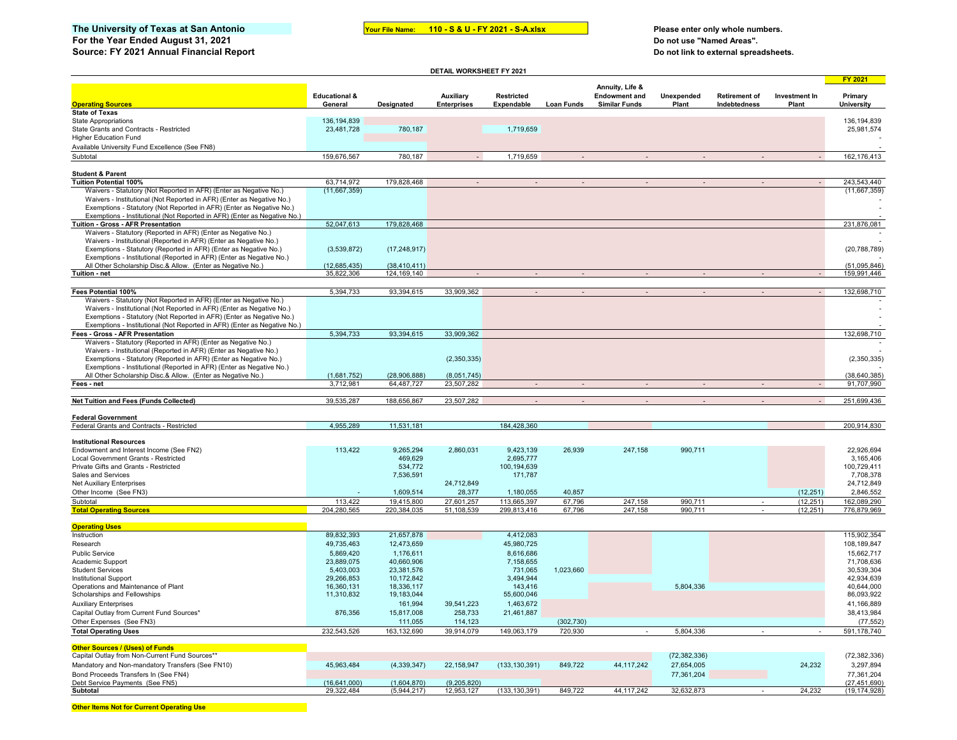## The University of Texas at San Antonio **The Control of Texas at San Antonio Your File Name:** 110 - S & U - FY 2021 - S-A.xlsx Please enter only whole numbers.<br>For the Year Ended August 31, 2021 **For the Year Ended August 31, 2021**

**110 - S & U - FY 2021 - S-A.xlsx**

**Source: FY 2021 Annual Financial Report Do not link to external spreadsheets.**

| DETAIL WORKSHEET FY 2021                                                                                                                      |                                     |                            |                                 |                                 |            |                                              |                     |                                      |                        |                              |
|-----------------------------------------------------------------------------------------------------------------------------------------------|-------------------------------------|----------------------------|---------------------------------|---------------------------------|------------|----------------------------------------------|---------------------|--------------------------------------|------------------------|------------------------------|
|                                                                                                                                               |                                     |                            |                                 |                                 |            | Annuity, Life &                              |                     |                                      |                        | <b>FY 2021</b>               |
| <b>Operating Sources</b>                                                                                                                      | <b>Educational &amp;</b><br>General | <b>Designated</b>          | Auxiliary<br><b>Enterprises</b> | <b>Restricted</b><br>Expendable | Loan Funds | <b>Endowment and</b><br><b>Similar Funds</b> | Unexpended<br>Plant | <b>Retirement of</b><br>Indebtedness | Investment In<br>Plant | Primary<br><b>University</b> |
| <b>State of Texas</b>                                                                                                                         |                                     |                            |                                 |                                 |            |                                              |                     |                                      |                        |                              |
| <b>State Appropriations</b>                                                                                                                   | 136, 194, 839                       |                            |                                 |                                 |            |                                              |                     |                                      |                        | 136, 194, 839                |
| State Grants and Contracts - Restricted                                                                                                       | 23,481,728                          | 780,187                    |                                 | 1,719,659                       |            |                                              |                     |                                      |                        | 25,981,574                   |
| <b>Higher Education Fund</b>                                                                                                                  |                                     |                            |                                 |                                 |            |                                              |                     |                                      |                        |                              |
| Available University Fund Excellence (See FN8)                                                                                                |                                     |                            |                                 |                                 |            |                                              |                     |                                      |                        |                              |
| Subtotal                                                                                                                                      | 159,676,567                         | 780,187                    |                                 | 1,719,659                       |            |                                              |                     |                                      |                        | 162, 176, 413                |
|                                                                                                                                               |                                     |                            |                                 |                                 |            |                                              |                     |                                      |                        |                              |
| <b>Student &amp; Parent</b>                                                                                                                   |                                     |                            |                                 |                                 |            |                                              |                     |                                      |                        |                              |
| <b>Tuition Potential 100%</b>                                                                                                                 | 63,714,972                          | 179,828,468                |                                 |                                 |            |                                              |                     |                                      |                        | 243,543,440                  |
| Waivers - Statutory (Not Reported in AFR) (Enter as Negative No.)                                                                             | (11,667,359)                        |                            |                                 |                                 |            |                                              |                     |                                      |                        | (11,667,359)                 |
| Waivers - Institutional (Not Reported in AFR) (Enter as Negative No.)<br>Exemptions - Statutory (Not Reported in AFR) (Enter as Negative No.) |                                     |                            |                                 |                                 |            |                                              |                     |                                      |                        |                              |
| Exemptions - Institutional (Not Reported in AFR) (Enter as Negative No.)                                                                      |                                     |                            |                                 |                                 |            |                                              |                     |                                      |                        |                              |
| Tuition - Gross - AFR Presentation                                                                                                            | 52,047,613                          | 179,828,468                |                                 |                                 |            |                                              |                     |                                      |                        | 231,876,081                  |
| Waivers - Statutory (Reported in AFR) (Enter as Negative No.)                                                                                 |                                     |                            |                                 |                                 |            |                                              |                     |                                      |                        |                              |
| Waivers - Institutional (Reported in AFR) (Enter as Negative No.)                                                                             |                                     |                            |                                 |                                 |            |                                              |                     |                                      |                        |                              |
| Exemptions - Statutory (Reported in AFR) (Enter as Negative No.)                                                                              | (3,539,872)                         | (17, 248, 917)             |                                 |                                 |            |                                              |                     |                                      |                        | (20, 788, 789)               |
| Exemptions - Institutional (Reported in AFR) (Enter as Negative No.)                                                                          |                                     |                            |                                 |                                 |            |                                              |                     |                                      |                        |                              |
| All Other Scholarship Disc.& Allow. (Enter as Negative No.)                                                                                   | (12,685,435)                        | (38, 410, 411)             |                                 |                                 |            |                                              |                     |                                      |                        | (51,095,846)                 |
| Tuition - net                                                                                                                                 | 35.822.306                          | 124.169.140                |                                 |                                 |            |                                              |                     |                                      |                        | 159.991.446                  |
| Fees Potential 100%                                                                                                                           | 5,394,733                           | 93,394,615                 | 33,909,362                      |                                 |            |                                              |                     |                                      |                        | 132,698,710                  |
| Waivers - Statutory (Not Reported in AFR) (Enter as Negative No.)                                                                             |                                     |                            |                                 |                                 |            |                                              |                     |                                      |                        |                              |
| Waivers - Institutional (Not Reported in AFR) (Enter as Negative No.)                                                                         |                                     |                            |                                 |                                 |            |                                              |                     |                                      |                        |                              |
| Exemptions - Statutory (Not Reported in AFR) (Enter as Negative No.)                                                                          |                                     |                            |                                 |                                 |            |                                              |                     |                                      |                        |                              |
| Exemptions - Institutional (Not Reported in AFR) (Enter as Negative No.)                                                                      |                                     |                            |                                 |                                 |            |                                              |                     |                                      |                        |                              |
| Fees - Gross - AFR Presentation                                                                                                               | 5,394,733                           | 93,394,615                 | 33,909,362                      |                                 |            |                                              |                     |                                      |                        | 132,698,710                  |
| Waivers - Statutory (Reported in AFR) (Enter as Negative No.)                                                                                 |                                     |                            |                                 |                                 |            |                                              |                     |                                      |                        |                              |
| Waivers - Institutional (Reported in AFR) (Enter as Negative No.)                                                                             |                                     |                            |                                 |                                 |            |                                              |                     |                                      |                        |                              |
| Exemptions - Statutory (Reported in AFR) (Enter as Negative No.)                                                                              |                                     |                            | (2,350,335)                     |                                 |            |                                              |                     |                                      |                        | (2,350,335)                  |
| Exemptions - Institutional (Reported in AFR) (Enter as Negative No.)                                                                          |                                     |                            |                                 |                                 |            |                                              |                     |                                      |                        |                              |
| All Other Scholarship Disc.& Allow. (Enter as Negative No.)<br>Fees - net                                                                     | (1,681,752)<br>3.712.981            | (28,906,888)<br>64.487.727 | (8,051,745)<br>23,507,282       |                                 |            |                                              |                     |                                      |                        | (38, 640, 385)<br>91.707.990 |
|                                                                                                                                               |                                     |                            |                                 |                                 |            |                                              |                     |                                      |                        |                              |
| Net Tuition and Fees (Funds Collected)                                                                                                        | 39,535,287                          | 188,656,867                | 23,507,282                      |                                 |            |                                              |                     |                                      |                        | 251,699,436                  |
|                                                                                                                                               |                                     |                            |                                 |                                 |            |                                              |                     |                                      |                        |                              |
| <b>Federal Government</b><br>Federal Grants and Contracts - Restricted                                                                        | 4.955.289                           | 11,531,181                 |                                 | 184.428.360                     |            |                                              |                     |                                      |                        | 200.914.830                  |
|                                                                                                                                               |                                     |                            |                                 |                                 |            |                                              |                     |                                      |                        |                              |
| <b>Institutional Resources</b>                                                                                                                |                                     |                            |                                 |                                 |            |                                              |                     |                                      |                        |                              |
| Endowment and Interest Income (See FN2)                                                                                                       | 113.422                             | 9.265.294                  | 2.860.031                       | 9,423,139                       | 26.939     | 247.158                                      | 990.711             |                                      |                        | 22,926,694                   |
| Local Government Grants - Restricted                                                                                                          |                                     | 469,629                    |                                 | 2,695,777                       |            |                                              |                     |                                      |                        | 3,165,406                    |
| Private Gifts and Grants - Restricted                                                                                                         |                                     | 534,772                    |                                 | 100,194,639                     |            |                                              |                     |                                      |                        | 100,729,411                  |
| Sales and Services                                                                                                                            |                                     | 7,536,591                  | 24,712,849                      | 171,787                         |            |                                              |                     |                                      |                        | 7,708,378<br>24,712,849      |
| <b>Net Auxiliary Enterprises</b><br>Other Income (See FN3)                                                                                    |                                     | 1,609,514                  | 28,377                          | 1,180,055                       | 40,857     |                                              |                     |                                      | (12, 251)              | 2,846,552                    |
| Subtotal                                                                                                                                      | 113,422                             | 19,415,800                 | 27,601,257                      | 113,665,397                     | 67,796     | 247,158                                      | 990,711             |                                      | (12, 251)              | 162,089,290                  |
| <b>Total Operating Sources</b>                                                                                                                | 204,280,565                         | 220.384.035                | 51,108,539                      | 299.813.416                     | 67.796     | 247.158                                      | 990.711             |                                      | (12, 251)              | 776,879,969                  |
|                                                                                                                                               |                                     |                            |                                 |                                 |            |                                              |                     |                                      |                        |                              |
| <b>Operating Uses</b>                                                                                                                         |                                     |                            |                                 |                                 |            |                                              |                     |                                      |                        |                              |
| Instruction                                                                                                                                   | 89,832,393                          | 21,657,878                 |                                 | 4.412.083                       |            |                                              |                     |                                      |                        | 115,902,354                  |
| Research                                                                                                                                      | 49,735,463                          | 12,473,659                 |                                 | 45,980,725                      |            |                                              |                     |                                      |                        | 108,189,847                  |
| <b>Public Service</b>                                                                                                                         | 5,869,420                           | 1,176,611                  |                                 | 8,616,686                       |            |                                              |                     |                                      |                        | 15,662,717                   |
| Academic Support                                                                                                                              | 23,889,075                          | 40,660,906                 |                                 | 7,158,655                       |            |                                              |                     |                                      |                        | 71,708,636                   |
| <b>Student Services</b>                                                                                                                       | 5,403,003                           | 23,381,576                 |                                 | 731,065                         | 1,023,660  |                                              |                     |                                      |                        | 30,539,304                   |
| <b>Institutional Support</b>                                                                                                                  | 29,266,853                          | 10,172,842                 |                                 | 3,494,944                       |            |                                              |                     |                                      |                        | 42,934,639                   |
| Operations and Maintenance of Plant                                                                                                           | 16,360,131                          | 18,336,117                 |                                 | 143,416                         |            |                                              | 5,804,336           |                                      |                        | 40,644,000                   |
| Scholarships and Fellowships                                                                                                                  | 11,310,832                          | 19,183,044                 |                                 | 55,600,046                      |            |                                              |                     |                                      |                        | 86,093,922                   |
| <b>Auxiliary Enterprises</b>                                                                                                                  |                                     | 161,994                    | 39,541,223<br>258,733           | 1,463,672                       |            |                                              |                     |                                      |                        | 41,166,889<br>38,413,984     |
| Capital Outlay from Current Fund Sources*                                                                                                     | 876,356                             | 15,817,008                 |                                 | 21,461,887                      |            |                                              |                     |                                      |                        |                              |
| Other Expenses (See FN3)                                                                                                                      |                                     | 111,055                    | 114,123                         |                                 | (302, 730) |                                              |                     |                                      |                        | (77, 552)                    |
| <b>Total Operating Uses</b>                                                                                                                   | 232,543,526                         | 163,132,690                | 39,914,079                      | 149,063,179                     | 720,930    |                                              | 5,804,336           |                                      |                        | 591,178,740                  |
| Other Sources / (Uses) of Funds                                                                                                               |                                     |                            |                                 |                                 |            |                                              |                     |                                      |                        |                              |
| Capital Outlay from Non-Current Fund Sources**                                                                                                |                                     |                            |                                 |                                 |            |                                              | (72, 382, 336)      |                                      |                        | (72, 382, 336)               |
| Mandatory and Non-mandatory Transfers (See FN10)                                                                                              | 45,963,484                          | (4, 339, 347)              | 22,158,947                      | (133, 130, 391)                 | 849,722    | 44, 117, 242                                 | 27,654,005          |                                      | 24,232                 | 3,297,894                    |
| Bond Proceeds Transfers In (See FN4)                                                                                                          |                                     |                            |                                 |                                 |            |                                              | 77,361,204          |                                      |                        | 77,361,204                   |
| Debt Service Payments (See FN5)                                                                                                               | (16, 641, 000)                      | (1,604,870)                | (9,205,820)                     |                                 |            |                                              |                     |                                      |                        | (27, 451, 690)               |
| Subtotal                                                                                                                                      | 29,322,484                          | (5,944,217)                | 12,953,127                      | (133, 130, 391)                 | 849,722    | 44, 117, 242                                 | 32,632,873          |                                      | 24,232                 | (19, 174, 928)               |

**Other Items Not for Current Operating Use**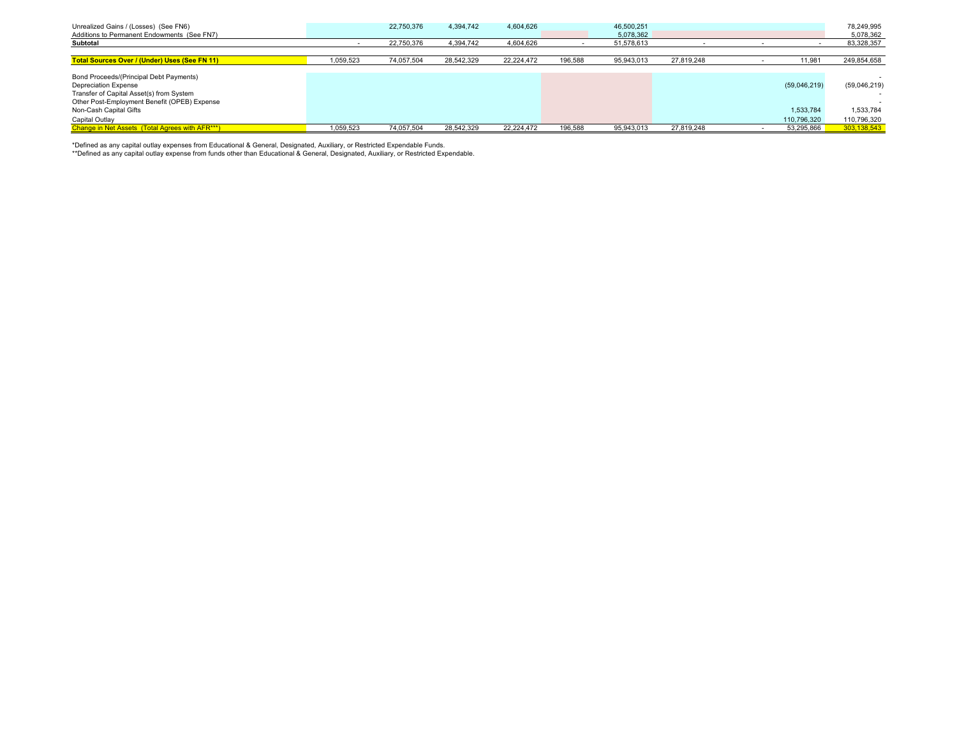| Unrealized Gains / (Losses) (See FN6)<br>Additions to Permanent Endowments (See FN7)                                                                                                         |           | 22,750,376 | 4,394,742  | 4,604,626  |         | 46.500.251<br>5.078.362 |            |                           | 78.249.995<br>5,078,362   |
|----------------------------------------------------------------------------------------------------------------------------------------------------------------------------------------------|-----------|------------|------------|------------|---------|-------------------------|------------|---------------------------|---------------------------|
| Subtotal                                                                                                                                                                                     |           | 22,750,376 | 4,394,742  | 4,604,626  |         | 51,578,613              |            |                           | 83,328,357                |
|                                                                                                                                                                                              |           |            |            |            |         |                         |            |                           |                           |
| <b>Total Sources Over / (Under) Uses (See FN 11)</b>                                                                                                                                         | 1.059.523 | 74,057,504 | 28,542,329 | 22.224.472 | 196,588 | 95,943,013              | 27,819,248 | 11,981                    | 249,854,658               |
| Bond Proceeds/(Principal Debt Payments)<br><b>Depreciation Expense</b><br>Transfer of Capital Asset(s) from System<br>Other Post-Employment Benefit (OPEB) Expense<br>Non-Cash Capital Gifts |           |            |            |            |         |                         |            | (59,046,219)<br>1,533,784 | (59,046,219)<br>1,533,784 |
| Capital Outlay                                                                                                                                                                               |           |            |            |            |         |                         |            | 110,796,320               | 110,796,320               |
| Change in Net Assets (Total Agrees with AFR***)                                                                                                                                              | 1,059,523 | 74,057,504 | 28,542,329 | 22.224.472 | 196,588 | 95,943,013              | 27,819,248 | 53,295,866                | 303,138,543               |

\*Defined as any capital outlay expenses from Educational & General, Designated, Auxiliary, or Restricted Expendable Funds.<br>\*\*Defined as any capital outlay expense from funds other than Educational & General, Designated, Au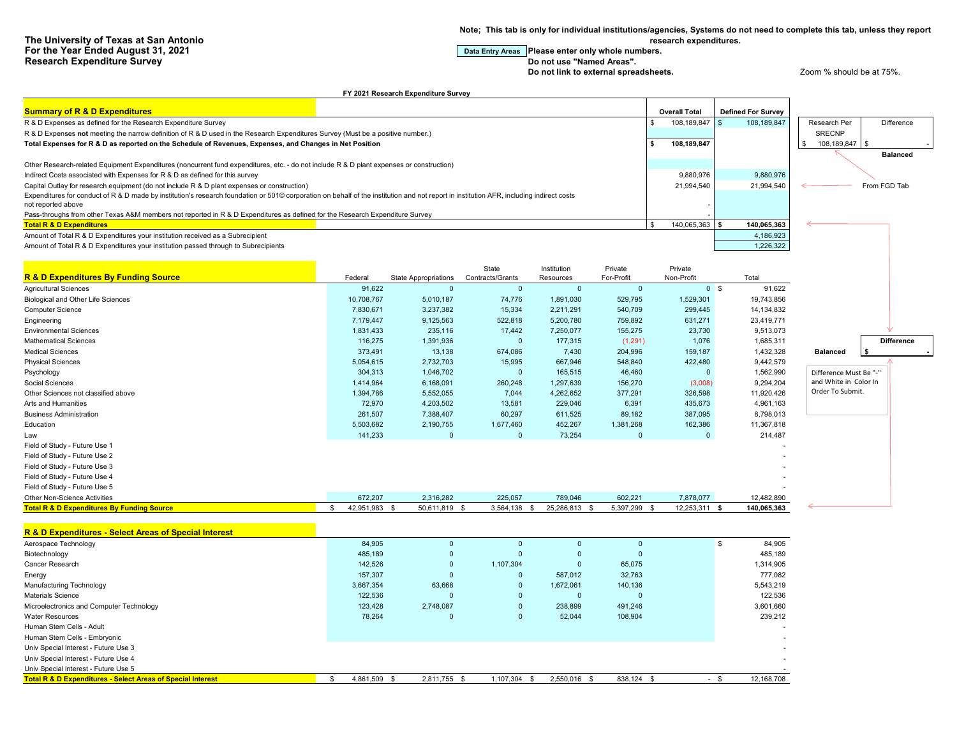**Note; This tab is only for individual institutions/agencies, Systems do not need to complete this tab, unless they report research expenditures.**

# **For the Ended Star Ended August 2021 Data Entry Areas** Please enter only whole numbers.

**Do not link to external spreadsheets.** Zoom % should be at 75%.

#### **FY 2021 Research Expenditure Survey**

| <b>Summary of R &amp; D Expenditures</b>                                                                                                                                                 |  | <b>Overall Total</b> | <b>Defined For Survey</b> |              |                 |  |
|------------------------------------------------------------------------------------------------------------------------------------------------------------------------------------------|--|----------------------|---------------------------|--------------|-----------------|--|
| R & D Expenses as defined for the Research Expenditure Survey                                                                                                                            |  | 108.189.847 \$       | 108.189.847               | Research Per | Difference      |  |
| R & D Expenses not meeting the narrow definition of R & D used in the Research Expenditures Survey (Must be a positive number.)                                                          |  |                      |                           | SRECNP       |                 |  |
| Total Expenses for R & D as reported on the Schedule of Revenues, Expenses, and Changes in Net Position                                                                                  |  | 108,189,847          |                           | 108,189,847  |                 |  |
|                                                                                                                                                                                          |  |                      |                           |              | <b>Balanced</b> |  |
| Other Research-related Equipment Expenditures (noncurrent fund expenditures, etc. - do not include R & D plant expenses or construction)                                                 |  |                      |                           |              |                 |  |
| Indirect Costs associated with Expenses for R & D as defined for this survey                                                                                                             |  | 9,880,976            | 9,880,976                 |              |                 |  |
| Capital Outlay for research equipment (do not include R & D plant expenses or construction)                                                                                              |  | 21,994,540           | 21.994.540                |              | From FGD Tab    |  |
| Expenditures for conduct of R & D made by institution's research foundation or 501© corporation on behalf of the institution and not report in institution AFR, including indirect costs |  |                      |                           |              |                 |  |
| not reported above                                                                                                                                                                       |  |                      |                           |              |                 |  |
| Pass-throughs from other Texas A&M members not reported in R & D Expenditures as defined for the Research Expenditure Survey                                                             |  |                      |                           |              |                 |  |
| <b>Total R &amp; D Expenditures</b>                                                                                                                                                      |  | 140,065,363 \$       | 140,065,363               |              |                 |  |
| Amount of Total R & D Expenditures your institution received as a Subrecipient                                                                                                           |  |                      | 4,186,923                 |              |                 |  |
| Amount of Total R & D Expenditures your institution passed through to Subrecipients                                                                                                      |  |                      | 1,226,322                 |              |                 |  |

| <b>R &amp; D Expenditures By Funding Source</b>       | Federal       | <b>State Appropriations</b> | State<br>Contracts/Grants | Institution<br>Resources | Private<br>For-Profit | Private<br>Non-Profit | Total        |                        |                   |
|-------------------------------------------------------|---------------|-----------------------------|---------------------------|--------------------------|-----------------------|-----------------------|--------------|------------------------|-------------------|
| <b>Agricultural Sciences</b>                          | 91,622        | $\mathbf{0}$                | $\Omega$                  | $\mathbf{0}$             | $\Omega$              | 0 <sup>5</sup>        | 91,622       |                        |                   |
| Biological and Other Life Sciences                    | 10,708,767    | 5,010,187                   | 74,776                    | 1,891,030                | 529,795               | 1,529,301             | 19,743,856   |                        |                   |
| Computer Science                                      | 7,830,671     | 3,237,382                   | 15,334                    | 2,211,291                | 540,709               | 299,445               | 14, 134, 832 |                        |                   |
| Engineering                                           | 7,179,447     | 9,125,563                   | 522,818                   | 5,200,780                | 759,892               | 631,271               | 23,419,771   |                        |                   |
| <b>Environmental Sciences</b>                         | 1,831,433     | 235,116                     | 17,442                    | 7,250,077                | 155,275               | 23,730                | 9,513,073    |                        |                   |
| Mathematical Sciences                                 | 116,275       | 1,391,936                   |                           | 177,315                  | (1,291)               | 1,076                 | 1,685,311    |                        | <b>Difference</b> |
| <b>Medical Sciences</b>                               | 373,491       | 13,138                      | 674,086                   | 7,430                    | 204,996               | 159,187               | 1,432,328    | <b>Balanced</b>        |                   |
| Physical Sciences                                     | 5,054,615     | 2,732,703                   | 15,995                    | 667,946                  | 548,840               | 422,480               | 9,442,579    |                        |                   |
| Psychology                                            | 304,313       | 1,046,702                   | $\Omega$                  | 165,515                  | 46,460                | $\Omega$              | 1,562,990    | Difference Must Be "-" |                   |
| Social Sciences                                       | 1,414,964     | 6,168,091                   | 260,248                   | 1,297,639                | 156,270               | (3,008)               | 9,294,204    | and White in Color In  |                   |
| Other Sciences not classified above                   | 1,394,786     | 5,552,055                   | 7,044                     | 4,262,652                | 377,291               | 326,598               | 11,920,426   | Order To Submit.       |                   |
| Arts and Humanities                                   | 72,970        | 4,203,502                   | 13,581                    | 229,046                  | 6,391                 | 435,673               | 4,961,163    |                        |                   |
| <b>Business Administration</b>                        | 261,507       | 7,388,407                   | 60,297                    | 611,525                  | 89,182                | 387,095               | 8,798,013    |                        |                   |
| Education                                             | 5,503,682     | 2,190,755                   | 1,677,460                 | 452,267                  | 1,381,268             | 162,386               | 11,367,818   |                        |                   |
| Law                                                   | 141,233       | $\mathbf 0$                 | $\mathbf{0}$              | 73,254                   | $\mathbf{0}$          | $\mathbf{0}$          | 214,487      |                        |                   |
| Field of Study - Future Use 1                         |               |                             |                           |                          |                       |                       |              |                        |                   |
| Field of Study - Future Use 2                         |               |                             |                           |                          |                       |                       |              |                        |                   |
| Field of Study - Future Use 3                         |               |                             |                           |                          |                       |                       |              |                        |                   |
| Field of Study - Future Use 4                         |               |                             |                           |                          |                       |                       |              |                        |                   |
| Field of Study - Future Use 5                         |               |                             |                           |                          |                       |                       |              |                        |                   |
| Other Non-Science Activities                          | 672,207       | 2,316,282                   | 225,057                   | 789,046                  | 602,221               | 7,878,077             | 12,482,890   |                        |                   |
| <b>Total R &amp; D Expenditures By Funding Source</b> | 42,951,983 \$ | 50,611,819 \$               | 3,564,138                 | 25,286,813 \$            | 5,397,299 \$          | 12,253,311 \$         | 140,065,363  |                        |                   |

#### **R & D Expenditures - Select Areas of Special Interest**

| Aerospace Technology                                                   | 84.905       |              | $\Omega$     |              |              |              |     | 84,905     |
|------------------------------------------------------------------------|--------------|--------------|--------------|--------------|--------------|--------------|-----|------------|
| Biotechnology                                                          | 485.189      |              | 0            | $\mathbf{0}$ | 0            | $\mathbf{0}$ |     | 485,189    |
| Cancer Research                                                        | 142.526      |              | $\mathbf{0}$ | 1,107,304    | $\Omega$     | 65,075       |     | 1,314,905  |
| Energy                                                                 | 157,307      |              | $\Omega$     | 0            | 587,012      | 32,763       |     | 777.082    |
| Manufacturing Technology                                               | 3,667,354    | 63,668       |              | $\mathbf 0$  | 1,672,061    | 140,136      |     | 5,543,219  |
| <b>Materials Science</b>                                               | 122.536      |              | $\Omega$     | 0            | 0            | <sup>0</sup> |     | 122,536    |
| Microelectronics and Computer Technology                               | 123.428      | 2,748,087    |              | $\mathbf 0$  | 238,899      | 491,246      |     | 3,601,660  |
| <b>Water Resources</b>                                                 | 78,264       |              | $\mathbf 0$  | $\mathbf 0$  | 52,044       | 108,904      |     | 239,212    |
| Human Stem Cells - Adult                                               |              |              |              |              |              |              |     |            |
| Human Stem Cells - Embryonic                                           |              |              |              |              |              |              |     |            |
| Univ Special Interest - Future Use 3                                   |              |              |              |              |              |              |     |            |
| Univ Special Interest - Future Use 4                                   |              |              |              |              |              |              |     |            |
| Univ Special Interest - Future Use 5                                   |              |              |              |              |              |              |     |            |
| <b>Total R &amp; D Expenditures - Select Areas of Special Interest</b> | 4.861.509 \$ | 2.811.755 \$ |              | 1.107.304 \$ | 2,550,016 \$ | 838,124 \$   | - 8 | 12,168,708 |
|                                                                        |              |              |              |              |              |              |     |            |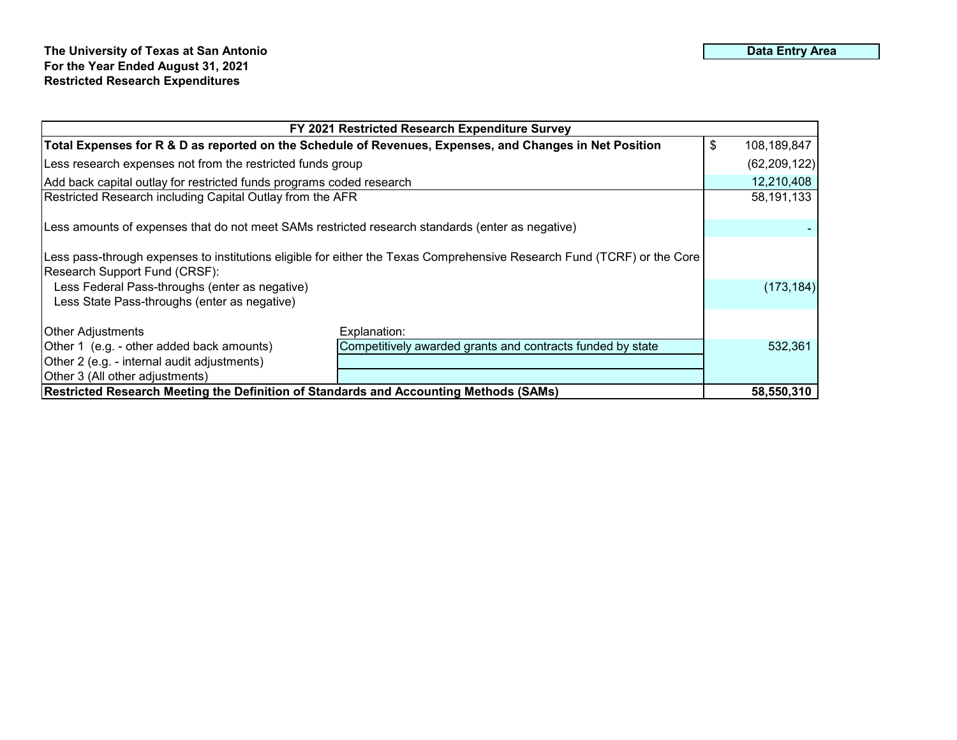| FY 2021 Restricted Research Expenditure Survey                                                                                                           |                                                            |  |                |  |  |  |  |  |  |
|----------------------------------------------------------------------------------------------------------------------------------------------------------|------------------------------------------------------------|--|----------------|--|--|--|--|--|--|
| \$<br>Total Expenses for R & D as reported on the Schedule of Revenues, Expenses, and Changes in Net Position                                            |                                                            |  |                |  |  |  |  |  |  |
| Less research expenses not from the restricted funds group                                                                                               |                                                            |  | (62, 209, 122) |  |  |  |  |  |  |
| Add back capital outlay for restricted funds programs coded research                                                                                     |                                                            |  | 12,210,408     |  |  |  |  |  |  |
| Restricted Research including Capital Outlay from the AFR                                                                                                |                                                            |  |                |  |  |  |  |  |  |
| Less amounts of expenses that do not meet SAMs restricted research standards (enter as negative)                                                         |                                                            |  |                |  |  |  |  |  |  |
| Less pass-through expenses to institutions eligible for either the Texas Comprehensive Research Fund (TCRF) or the Core<br>Research Support Fund (CRSF): |                                                            |  |                |  |  |  |  |  |  |
| Less Federal Pass-throughs (enter as negative)<br>Less State Pass-throughs (enter as negative)                                                           |                                                            |  |                |  |  |  |  |  |  |
| <b>Other Adjustments</b>                                                                                                                                 | Explanation:                                               |  |                |  |  |  |  |  |  |
| Other 1 (e.g. - other added back amounts)                                                                                                                | Competitively awarded grants and contracts funded by state |  | 532,361        |  |  |  |  |  |  |
| Other 2 (e.g. - internal audit adjustments)                                                                                                              |                                                            |  |                |  |  |  |  |  |  |
| Other 3 (All other adjustments)                                                                                                                          |                                                            |  |                |  |  |  |  |  |  |
| <b>Restricted Research Meeting the Definition of Standards and Accounting Methods (SAMs)</b>                                                             |                                                            |  |                |  |  |  |  |  |  |